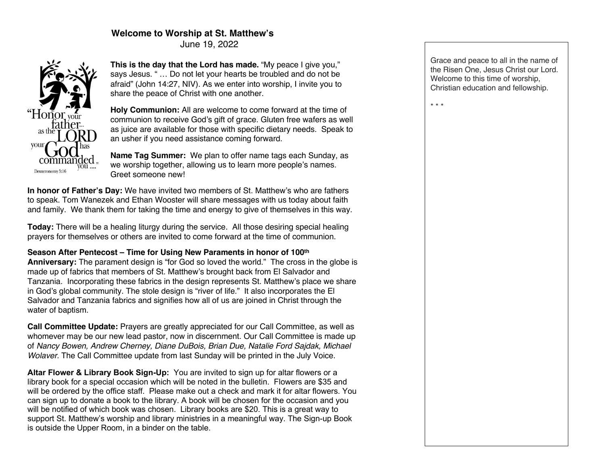# **Welcome to Worship at St. Matthew's**

June 19, 2022



**This is the day that the Lord has made.** "My peace I give you," says Jesus. " … Do not let your hearts be troubled and do not be afraid" (John 14:27, NIV). As we enter into worship, I invite you to share the peace of Christ with one another.

**Holy Communion:** All are welcome to come forward at the time of communion to receive God's gift of grace. Gluten free wafers as well as juice are available for those with specific dietary needs. Speak to an usher if you need assistance coming forward.

**Name Tag Summer:** We plan to offer name tags each Sunday, as we worship together, allowing us to learn more people's names. Greet someone new!

**In honor of Father's Day:** We have invited two members of St. Matthew's who are fathers to speak. Tom Wanezek and Ethan Wooster will share messages with us today about faith and family. We thank them for taking the time and energy to give of themselves in this way.

**Today:** There will be a healing liturgy during the service. All those desiring special healing prayers for themselves or others are invited to come forward at the time of communion.

**Season After Pentecost – Time for Using New Paraments in honor of 100th Anniversary:** The parament design is "for God so loved the world." The cross in the globe is made up of fabrics that members of St. Matthew's brought back from El Salvador and Tanzania. Incorporating these fabrics in the design represents St. Matthew's place we share in God's global community. The stole design is "river of life." It also incorporates the El Salvador and Tanzania fabrics and signifies how all of us are joined in Christ through the water of baptism.

**Call Committee Update:** Prayers are greatly appreciated for our Call Committee, as well as whomever may be our new lead pastor, now in discernment. Our Call Committee is made up of *Nancy Bowen, Andrew Cherney, Diane DuBois, Brian Due, Natalie Ford Sajdak, Michael Wolaver.* The Call Committee update from last Sunday will be printed in the July Voice.

**Altar Flower & Library Book Sign-Up:** You are invited to sign up for altar flowers or a library book for a special occasion which will be noted in the bulletin. Flowers are \$35 and will be ordered by the office staff. Please make out a check and mark it for altar flowers. You can sign up to donate a book to the library. A book will be chosen for the occasion and you will be notified of which book was chosen. Library books are \$20. This is a great way to support St. Matthew's worship and library ministries in a meaningful way. The Sign-up Book is outside the Upper Room, in a binder on the table.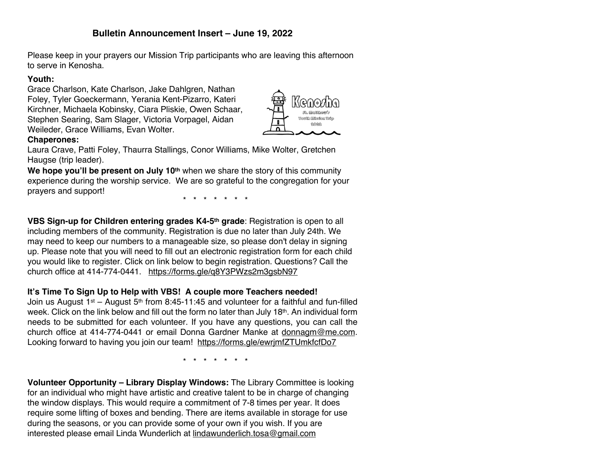# **Bulletin Announcement Insert – June 19, 2022**

Please keep in your prayers our Mission Trip participants who are leaving this afternoon to serve in Kenosha.

#### **Youth:**

Grace Charlson, Kate Charlson, Jake Dahlgren, Nathan Foley, Tyler Goeckermann, Yerania Kent-Pizarro, Kateri Kirchner, Michaela Kobinsky, Ciara Pliskie, Owen Schaar, Stephen Searing, Sam Slager, Victoria Vorpagel, Aidan Weileder, Grace Williams, Evan Wolter.



#### **Chaperones:**

Laura Crave, Patti Foley, Thaurra Stallings, Conor Williams, Mike Wolter, Gretchen Haugse (trip leader).

**We hope you'll be present on July 10th** when we share the story of this community experience during the worship service. We are so grateful to the congregation for your prayers and support!

\* \* \* \* \* \* \*

**VBS Sign-up for Children entering grades K4-5th grade**: Registration is open to all including members of the community. Registration is due no later than July 24th. We may need to keep our numbers to a manageable size, so please don't delay in signing up. Please note that you will need to fill out an electronic registration form for each child you would like to register. Click on link below to begin registration. Questions? Call the church office at 414-774-0441. https://forms.gle/q8Y3PWzs2m3gsbN97

#### **It's Time To Sign Up to Help with VBS! A couple more Teachers needed!**

Join us August 1st – August 5<sup>th</sup> from 8:45-11:45 and volunteer for a faithful and fun-filled week. Click on the link below and fill out the form no later than July 18<sup>th</sup>. An individual form needs to be submitted for each volunteer. If you have any questions, you can call the church office at 414-774-0441 or email Donna Gardner Manke at donnagm@me.com. Looking forward to having you join our team! https://forms.gle/ewrjmfZTUmkfcfDo7

\* \* \* \* \* \* \*

**Volunteer Opportunity – Library Display Windows:** The Library Committee is looking for an individual who might have artistic and creative talent to be in charge of changing the window displays. This would require a commitment of 7-8 times per year. It does require some lifting of boxes and bending. There are items available in storage for use during the seasons, or you can provide some of your own if you wish. If you are interested please email Linda Wunderlich at lindawunderlich.tosa@gmail.com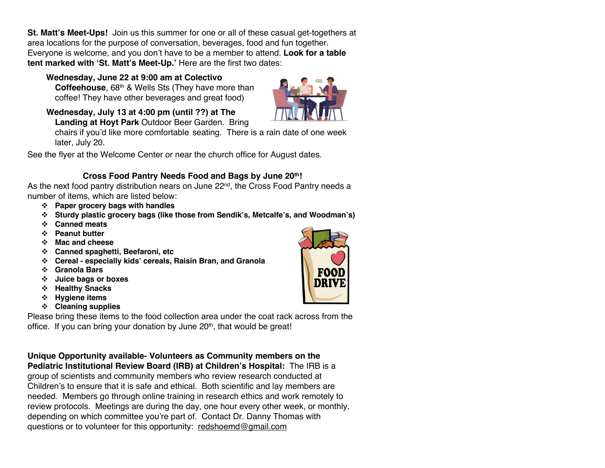**St. Matt's Meet-Ups!** Join us this summer for one or all of these casual get-togethers at area locations for the purpose of conversation, beverages, food and fun together. Everyone is welcome, and you don't have to be a member to attend. **Look for a table tent marked with 'St. Matt's Meet-Up.'** Here are the first two dates:

 **Wednesday, June 22 at 9:00 am at Colectivo Coffeehouse**, 68th & Wells Sts (They have more than coffee! They have other beverages and great food)

**Wednesday, July 13 at 4:00 pm (until ??) at The Landing at Hoyt Park** Outdoor Beer Garden. Bring

chairs if you'd like more comfortable seating. There is a rain date of one week later, July 20.

See the flyer at the Welcome Center or near the church office for August dates.

## **Cross Food Pantry Needs Food and Bags by June 20th!**

As the next food pantry distribution nears on June 22<sup>nd</sup>, the Cross Food Pantry needs a number of items, which are listed below:

- v **Paper grocery bags with handles**
- v **Sturdy plastic grocery bags (like those from Sendik's, Metcalfe's, and Woodman's)**
- v **Canned meats**
- v **Peanut butter**
- v **Mac and cheese**
- v **Canned spaghetti, Beefaroni, etc**
- v **Cereal - especially kids' cereals, Raisin Bran, and Granola**
- v **Granola Bars**
- v **Juice bags or boxes**
- v **Healthy Snacks**
- v **Hygiene items**
- v **Cleaning supplies**

Please bring these items to the food collection area under the coat rack across from the office. If you can bring your donation by June 20<sup>th</sup>, that would be great!

**Unique Opportunity available- Volunteers as Community members on the Pediatric Institutional Review Board (IRB) at Children's Hospital:** The IRB is a group of scientists and community members who review research conducted at Children's to ensure that it is safe and ethical. Both scientific and lay members are needed. Members go through online training in research ethics and work remotely to review protocols. Meetings are during the day, one hour every other week, or monthly, depending on which committee you're part of. Contact Dr. Danny Thomas with questions or to volunteer for this opportunity: redshoemd@gmail.com